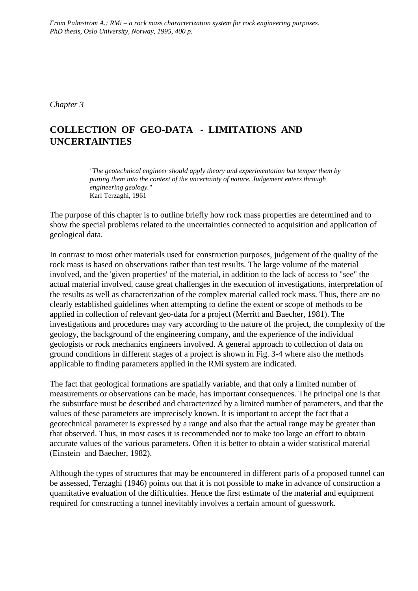*From Palmström A.: RMi – a rock mass characterization system for rock engineering purposes. PhD thesis, Oslo University, Norway, 1995, 400 p.*

*Chapter 3*

# **COLLECTION OF GEO-DATA - LIMITATIONS AND UNCERTAINTIES**

*"The geotechnical engineer should apply theory and experimentation but temper them by putting them into the context of the uncertainty of nature. Judgement enters through engineering geology."* Karl Terzaghi, 1961

The purpose of this chapter is to outline briefly how rock mass properties are determined and to show the special problems related to the uncertainties connected to acquisition and application of geological data.

In contrast to most other materials used for construction purposes, judgement of the quality of the rock mass is based on observations rather than test results. The large volume of the material involved, and the 'given properties' of the material, in addition to the lack of access to "see" the actual material involved, cause great challenges in the execution of investigations, interpretation of the results as well as characterization of the complex material called rock mass. Thus, there are no clearly established guidelines when attempting to define the extent or scope of methods to be applied in collection of relevant geo-data for a project (Merritt and Baecher, 1981). The investigations and procedures may vary according to the nature of the project, the complexity of the geology, the background of the engineering company, and the experience of the individual geologists or rock mechanics engineers involved. A general approach to collection of data on ground conditions in different stages of a project is shown in Fig. 3-4 where also the methods applicable to finding parameters applied in the RMi system are indicated.

The fact that geological formations are spatially variable, and that only a limited number of measurements or observations can be made, has important consequences. The principal one is that the subsurface must be described and characterized by a limited number of parameters, and that the values of these parameters are imprecisely known. It is important to accept the fact that a geotechnical parameter is expressed by a range and also that the actual range may be greater than that observed. Thus, in most cases it is recommended not to make too large an effort to obtain accurate values of the various parameters. Often it is better to obtain a wider statistical material (Einstein and Baecher, 1982).

Although the types of structures that may be encountered in different parts of a proposed tunnel can be assessed, Terzaghi (1946) points out that it is not possible to make in advance of construction a quantitative evaluation of the difficulties. Hence the first estimate of the material and equipment required for constructing a tunnel inevitably involves a certain amount of guesswork.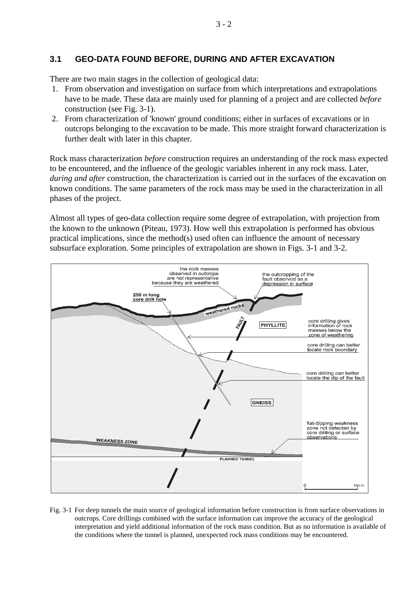# **3.1 GEO-DATA FOUND BEFORE, DURING AND AFTER EXCAVATION**

There are two main stages in the collection of geological data:

- 1. From observation and investigation on surface from which interpretations and extrapolations have to be made. These data are mainly used for planning of a project and are collected *before* construction (see Fig. 3-1).
- 2. From characterization of 'known' ground conditions; either in surfaces of excavations or in outcrops belonging to the excavation to be made. This more straight forward characterization is further dealt with later in this chapter.

Rock mass characterization *before* construction requires an understanding of the rock mass expected to be encountered, and the influence of the geologic variables inherent in any rock mass. Later, *during and after* construction, the characterization is carried out in the surfaces of the excavation on known conditions. The same parameters of the rock mass may be used in the characterization in all phases of the project.

Almost all types of geo-data collection require some degree of extrapolation, with projection from the known to the unknown (Piteau, 1973). How well this extrapolation is performed has obvious practical implications, since the method(s) used often can influence the amount of necessary subsurface exploration. Some principles of extrapolation are shown in Figs. 3-1 and 3-2.



Fig. 3-1 For deep tunnels the main source of geological information before construction is from surface observations in outcrops. Core drillings combined with the surface information can improve the accuracy of the geological interpretation and yield additional information of the rock mass condition. But as no information is available of the conditions where the tunnel is planned, unexpected rock mass conditions may be encountered.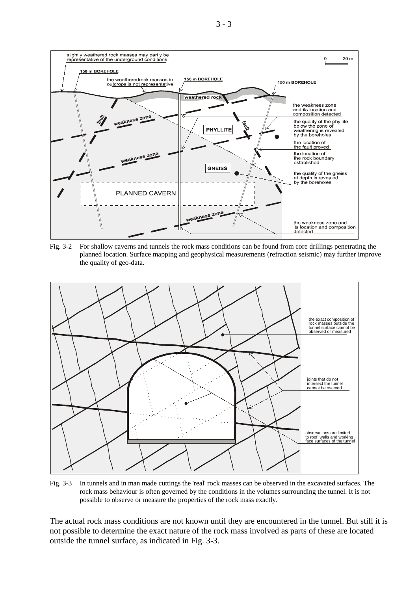

Fig. 3-2 For shallow caverns and tunnels the rock mass conditions can be found from core drillings penetrating the planned location. Surface mapping and geophysical measurements (refraction seismic) may further improve the quality of geo-data.



Fig. 3-3 In tunnels and in man made cuttings the 'real' rock masses can be observed in the excavated surfaces. The rock mass behaviour is often governed by the conditions in the volumes surrounding the tunnel. It is not possible to observe or measure the properties of the rock mass exactly.

The actual rock mass conditions are not known until they are encountered in the tunnel. But still it is not possible to determine the exact nature of the rock mass involved as parts of these are located outside the tunnel surface, as indicated in Fig. 3-3.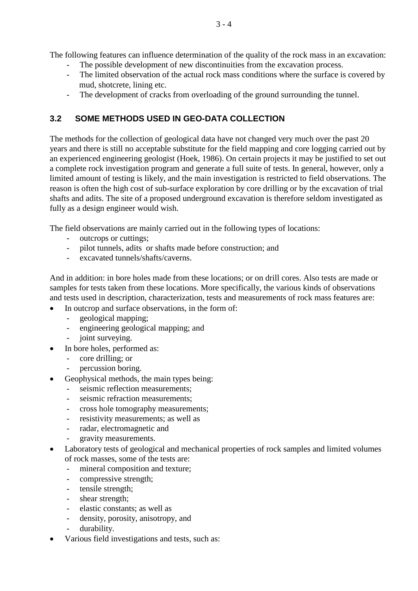The following features can influence determination of the quality of the rock mass in an excavation:

- The possible development of new discontinuities from the excavation process.
- The limited observation of the actual rock mass conditions where the surface is covered by mud, shotcrete, lining etc.
- The development of cracks from overloading of the ground surrounding the tunnel.

# **3.2 SOME METHODS USED IN GEO-DATA COLLECTION**

The methods for the collection of geological data have not changed very much over the past 20 years and there is still no acceptable substitute for the field mapping and core logging carried out by an experienced engineering geologist (Hoek, 1986). On certain projects it may be justified to set out a complete rock investigation program and generate a full suite of tests. In general, however, only a limited amount of testing is likely, and the main investigation is restricted to field observations. The reason is often the high cost of sub-surface exploration by core drilling or by the excavation of trial shafts and adits. The site of a proposed underground excavation is therefore seldom investigated as fully as a design engineer would wish.

The field observations are mainly carried out in the following types of locations:

- outcrops or cuttings;
- pilot tunnels, adits or shafts made before construction; and
- excavated tunnels/shafts/caverns.

And in addition: in bore holes made from these locations; or on drill cores. Also tests are made or samples for tests taken from these locations. More specifically, the various kinds of observations and tests used in description, characterization, tests and measurements of rock mass features are:

- In outcrop and surface observations, in the form of:
	- geological mapping;
	- engineering geological mapping; and
	- joint surveying.
- In bore holes, performed as:
	- core drilling; or
	- percussion boring.
- Geophysical methods, the main types being:
	- seismic reflection measurements;
	- seismic refraction measurements:
	- cross hole tomography measurements;
	- resistivity measurements; as well as
	- radar, electromagnetic and
	- gravity measurements.
- Laboratory tests of geological and mechanical properties of rock samples and limited volumes of rock masses, some of the tests are:
	- mineral composition and texture;
	- compressive strength;
	- tensile strength;
	- shear strength;
	- elastic constants; as well as
	- density, porosity, anisotropy, and
	- durability.
- Various field investigations and tests, such as: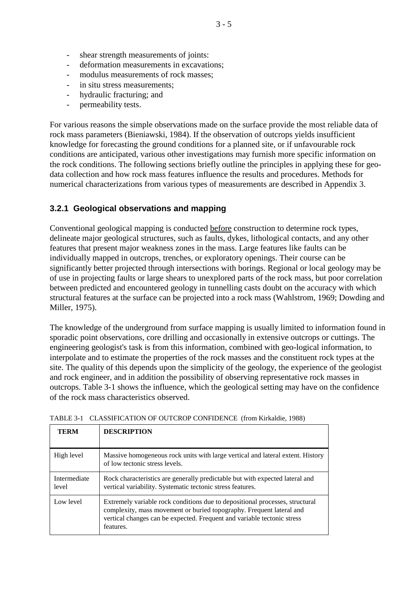- deformation measurements in excavations;
- modulus measurements of rock masses:
- in situ stress measurements:
- hydraulic fracturing; and
- permeability tests.

For various reasons the simple observations made on the surface provide the most reliable data of rock mass parameters (Bieniawski, 1984). If the observation of outcrops yields insufficient knowledge for forecasting the ground conditions for a planned site, or if unfavourable rock conditions are anticipated, various other investigations may furnish more specific information on the rock conditions. The following sections briefly outline the principles in applying these for geodata collection and how rock mass features influence the results and procedures. Methods for numerical characterizations from various types of measurements are described in Appendix 3.

# **3.2.1 Geological observations and mapping**

Conventional geological mapping is conducted before construction to determine rock types, delineate major geological structures, such as faults, dykes, lithological contacts, and any other features that present major weakness zones in the mass. Large features like faults can be individually mapped in outcrops, trenches, or exploratory openings. Their course can be significantly better projected through intersections with borings. Regional or local geology may be of use in projecting faults or large shears to unexplored parts of the rock mass, but poor correlation between predicted and encountered geology in tunnelling casts doubt on the accuracy with which structural features at the surface can be projected into a rock mass (Wahlstrom, 1969; Dowding and Miller, 1975).

The knowledge of the underground from surface mapping is usually limited to information found in sporadic point observations, core drilling and occasionally in extensive outcrops or cuttings. The engineering geologist's task is from this information, combined with geo-logical information, to interpolate and to estimate the properties of the rock masses and the constituent rock types at the site. The quality of this depends upon the simplicity of the geology, the experience of the geologist and rock engineer, and in addition the possibility of observing representative rock masses in outcrops. Table 3-1 shows the influence, which the geological setting may have on the confidence of the rock mass characteristics observed.

| TERM                  | <b>DESCRIPTION</b>                                                                                                                                                                                                                           |
|-----------------------|----------------------------------------------------------------------------------------------------------------------------------------------------------------------------------------------------------------------------------------------|
| High level            | Massive homogeneous rock units with large vertical and lateral extent. History<br>of low tectonic stress levels.                                                                                                                             |
| Intermediate<br>level | Rock characteristics are generally predictable but with expected lateral and<br>vertical variability. Systematic tectonic stress features.                                                                                                   |
| Low level             | Extremely variable rock conditions due to depositional processes, structural<br>complexity, mass movement or buried topography. Frequent lateral and<br>vertical changes can be expected. Frequent and variable tectonic stress<br>features. |

TABLE 3-1 CLASSIFICATION OF OUTCROP CONFIDENCE (from Kirkaldie, 1988)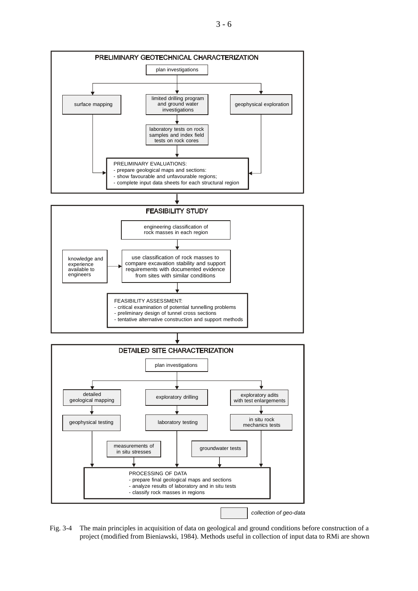



Fig. 3-4 The main principles in acquisition of data on geological and ground conditions before construction of a project (modified from Bieniawski, 1984). Methods useful in collection of input data to RMi are shown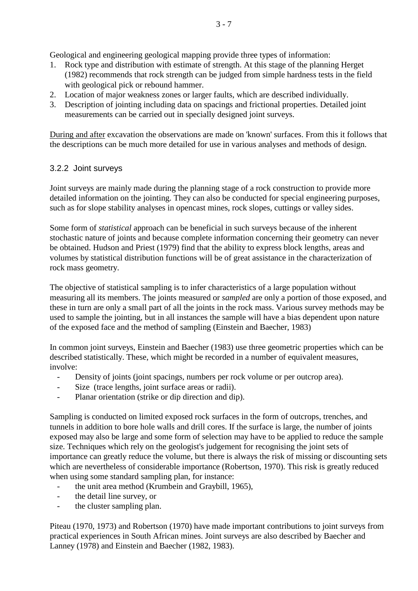Geological and engineering geological mapping provide three types of information:

- 1. Rock type and distribution with estimate of strength. At this stage of the planning Herget (1982) recommends that rock strength can be judged from simple hardness tests in the field with geological pick or rebound hammer.
- 2. Location of major weakness zones or larger faults, which are described individually.
- 3. Description of jointing including data on spacings and frictional properties. Detailed joint measurements can be carried out in specially designed joint surveys.

During and after excavation the observations are made on 'known' surfaces. From this it follows that the descriptions can be much more detailed for use in various analyses and methods of design.

# 3.2.2 Joint surveys

Joint surveys are mainly made during the planning stage of a rock construction to provide more detailed information on the jointing. They can also be conducted for special engineering purposes, such as for slope stability analyses in opencast mines, rock slopes, cuttings or valley sides.

Some form of *statistical* approach can be beneficial in such surveys because of the inherent stochastic nature of joints and because complete information concerning their geometry can never be obtained. Hudson and Priest (1979) find that the ability to express block lengths, areas and volumes by statistical distribution functions will be of great assistance in the characterization of rock mass geometry.

The objective of statistical sampling is to infer characteristics of a large population without measuring all its members. The joints measured or *sampled* are only a portion of those exposed, and these in turn are only a small part of all the joints in the rock mass. Various survey methods may be used to sample the jointing, but in all instances the sample will have a bias dependent upon nature of the exposed face and the method of sampling (Einstein and Baecher, 1983)

In common joint surveys, Einstein and Baecher (1983) use three geometric properties which can be described statistically. These, which might be recorded in a number of equivalent measures, involve:

- Density of joints (joint spacings, numbers per rock volume or per outcrop area).
- Size (trace lengths, joint surface areas or radii).
- Planar orientation (strike or dip direction and dip).

Sampling is conducted on limited exposed rock surfaces in the form of outcrops, trenches, and tunnels in addition to bore hole walls and drill cores. If the surface is large, the number of joints exposed may also be large and some form of selection may have to be applied to reduce the sample size. Techniques which rely on the geologist's judgement for recognising the joint sets of importance can greatly reduce the volume, but there is always the risk of missing or discounting sets which are nevertheless of considerable importance (Robertson, 1970). This risk is greatly reduced when using some standard sampling plan, for instance:

- the unit area method (Krumbein and Graybill, 1965),
- the detail line survey, or
- the cluster sampling plan.

Piteau (1970, 1973) and Robertson (1970) have made important contributions to joint surveys from practical experiences in South African mines. Joint surveys are also described by Baecher and Lanney (1978) and Einstein and Baecher (1982, 1983).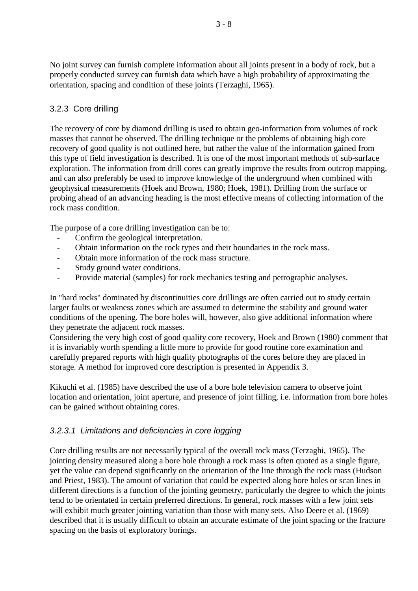No joint survey can furnish complete information about all joints present in a body of rock, but a properly conducted survey can furnish data which have a high probability of approximating the orientation, spacing and condition of these joints (Terzaghi, 1965).

### 3.2.3 Core drilling

The recovery of core by diamond drilling is used to obtain geo-information from volumes of rock masses that cannot be observed. The drilling technique or the problems of obtaining high core recovery of good quality is not outlined here, but rather the value of the information gained from this type of field investigation is described. It is one of the most important methods of sub-surface exploration. The information from drill cores can greatly improve the results from outcrop mapping, and can also preferably be used to improve knowledge of the underground when combined with geophysical measurements (Hoek and Brown, 1980; Hoek, 1981). Drilling from the surface or probing ahead of an advancing heading is the most effective means of collecting information of the rock mass condition.

The purpose of a core drilling investigation can be to:

- Confirm the geological interpretation.
- Obtain information on the rock types and their boundaries in the rock mass.
- Obtain more information of the rock mass structure.
- Study ground water conditions.
- Provide material (samples) for rock mechanics testing and petrographic analyses.

In "hard rocks" dominated by discontinuities core drillings are often carried out to study certain larger faults or weakness zones which are assumed to determine the stability and ground water conditions of the opening. The bore holes will, however, also give additional information where they penetrate the adjacent rock masses.

Considering the very high cost of good quality core recovery, Hoek and Brown (1980) comment that it is invariably worth spending a little more to provide for good routine core examination and carefully prepared reports with high quality photographs of the cores before they are placed in storage. A method for improved core description is presented in Appendix 3.

Kikuchi et al. (1985) have described the use of a bore hole television camera to observe joint location and orientation, joint aperture, and presence of joint filling, i.e. information from bore holes can be gained without obtaining cores.

#### *3.2.3.1 Limitations and deficiencies in core logging*

Core drilling results are not necessarily typical of the overall rock mass (Terzaghi, 1965). The jointing density measured along a bore hole through a rock mass is often quoted as a single figure, yet the value can depend significantly on the orientation of the line through the rock mass (Hudson and Priest, 1983). The amount of variation that could be expected along bore holes or scan lines in different directions is a function of the jointing geometry, particularly the degree to which the joints tend to be orientated in certain preferred directions. In general, rock masses with a few joint sets will exhibit much greater jointing variation than those with many sets. Also Deere et al. (1969) described that it is usually difficult to obtain an accurate estimate of the joint spacing or the fracture spacing on the basis of exploratory borings.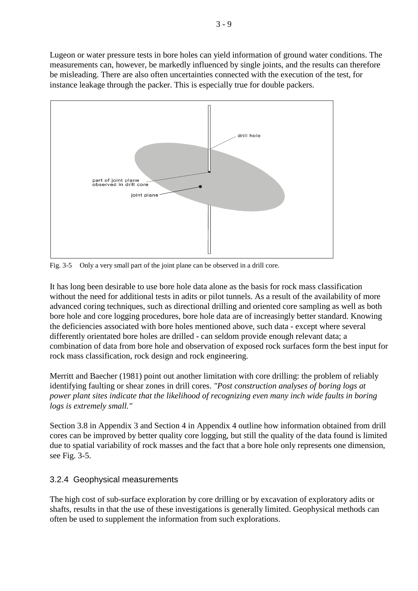Lugeon or water pressure tests in bore holes can yield information of ground water conditions. The measurements can, however, be markedly influenced by single joints, and the results can therefore be misleading. There are also often uncertainties connected with the execution of the test, for instance leakage through the packer. This is especially true for double packers.



Fig. 3-5 Only a very small part of the joint plane can be observed in a drill core.

It has long been desirable to use bore hole data alone as the basis for rock mass classification without the need for additional tests in adits or pilot tunnels. As a result of the availability of more advanced coring techniques, such as directional drilling and oriented core sampling as well as both bore hole and core logging procedures, bore hole data are of increasingly better standard. Knowing the deficiencies associated with bore holes mentioned above, such data - except where several differently orientated bore holes are drilled - can seldom provide enough relevant data; a combination of data from bore hole and observation of exposed rock surfaces form the best input for rock mass classification, rock design and rock engineering.

Merritt and Baecher (1981) point out another limitation with core drilling: the problem of reliably identifying faulting or shear zones in drill cores. *"Post construction analyses of boring logs at power plant sites indicate that the likelihood of recognizing even many inch wide faults in boring logs is extremely small."*

Section 3.8 in Appendix 3 and Section 4 in Appendix 4 outline how information obtained from drill cores can be improved by better quality core logging, but still the quality of the data found is limited due to spatial variability of rock masses and the fact that a bore hole only represents one dimension, see Fig. 3-5.

# 3.2.4 Geophysical measurements

The high cost of sub-surface exploration by core drilling or by excavation of exploratory adits or shafts, results in that the use of these investigations is generally limited. Geophysical methods can often be used to supplement the information from such explorations.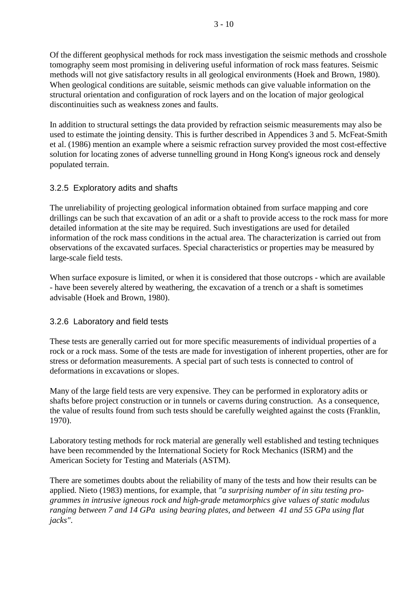Of the different geophysical methods for rock mass investigation the seismic methods and crosshole tomography seem most promising in delivering useful information of rock mass features. Seismic methods will not give satisfactory results in all geological environments (Hoek and Brown, 1980). When geological conditions are suitable, seismic methods can give valuable information on the structural orientation and configuration of rock layers and on the location of major geological discontinuities such as weakness zones and faults.

In addition to structural settings the data provided by refraction seismic measurements may also be used to estimate the jointing density. This is further described in Appendices 3 and 5. McFeat-Smith et al. (1986) mention an example where a seismic refraction survey provided the most cost-effective solution for locating zones of adverse tunnelling ground in Hong Kong's igneous rock and densely populated terrain.

# 3.2.5 Exploratory adits and shafts

The unreliability of projecting geological information obtained from surface mapping and core drillings can be such that excavation of an adit or a shaft to provide access to the rock mass for more detailed information at the site may be required. Such investigations are used for detailed information of the rock mass conditions in the actual area. The characterization is carried out from observations of the excavated surfaces. Special characteristics or properties may be measured by large-scale field tests.

When surface exposure is limited, or when it is considered that those outcrops - which are available - have been severely altered by weathering, the excavation of a trench or a shaft is sometimes advisable (Hoek and Brown, 1980).

# 3.2.6 Laboratory and field tests

These tests are generally carried out for more specific measurements of individual properties of a rock or a rock mass. Some of the tests are made for investigation of inherent properties, other are for stress or deformation measurements. A special part of such tests is connected to control of deformations in excavations or slopes.

Many of the large field tests are very expensive. They can be performed in exploratory adits or shafts before project construction or in tunnels or caverns during construction. As a consequence, the value of results found from such tests should be carefully weighted against the costs (Franklin, 1970).

Laboratory testing methods for rock material are generally well established and testing techniques have been recommended by the International Society for Rock Mechanics (ISRM) and the American Society for Testing and Materials (ASTM).

There are sometimes doubts about the reliability of many of the tests and how their results can be applied. Nieto (1983) mentions, for example, that *"a surprising number of in situ testing programmes in intrusive igneous rock and high-grade metamorphics give values of static modulus ranging between 7 and 14 GPa using bearing plates, and between 41 and 55 GPa using flat jacks"*.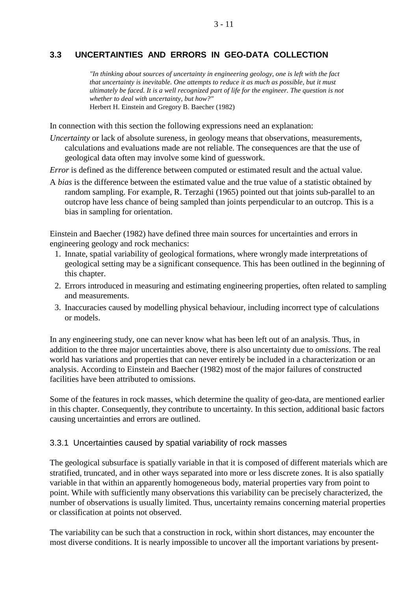#### 3 - 11

### **3.3 UNCERTAINTIES AND ERRORS IN GEO-DATA COLLECTION**

*"In thinking about sources of uncertainty in engineering geology, one is left with the fact that uncertainty is inevitable. One attempts to reduce it as much as possible, but it must ultimately be faced. It is a well recognized part of life for the engineer. The question is not whether to deal with uncertainty, but how?"* Herbert H. Einstein and Gregory B. Baecher (1982)

In connection with this section the following expressions need an explanation:

*Uncertainty* or lack of absolute sureness, in geology means that observations, measurements, calculations and evaluations made are not reliable. The consequences are that the use of geological data often may involve some kind of guesswork.

*Error* is defined as the difference between computed or estimated result and the actual value.

A *bias* is the difference between the estimated value and the true value of a statistic obtained by random sampling. For example, R. Terzaghi (1965) pointed out that joints sub-parallel to an outcrop have less chance of being sampled than joints perpendicular to an outcrop. This is a bias in sampling for orientation.

Einstein and Baecher (1982) have defined three main sources for uncertainties and errors in engineering geology and rock mechanics:

- 1. Innate, spatial variability of geological formations, where wrongly made interpretations of geological setting may be a significant consequence. This has been outlined in the beginning of this chapter.
- 2. Errors introduced in measuring and estimating engineering properties, often related to sampling and measurements.
- 3. Inaccuracies caused by modelling physical behaviour, including incorrect type of calculations or models.

In any engineering study, one can never know what has been left out of an analysis. Thus, in addition to the three major uncertainties above, there is also uncertainty due to *omissions*. The real world has variations and properties that can never entirely be included in a characterization or an analysis. According to Einstein and Baecher (1982) most of the major failures of constructed facilities have been attributed to omissions.

Some of the features in rock masses, which determine the quality of geo-data, are mentioned earlier in this chapter. Consequently, they contribute to uncertainty. In this section, additional basic factors causing uncertainties and errors are outlined.

#### 3.3.1 Uncertainties caused by spatial variability of rock masses

The geological subsurface is spatially variable in that it is composed of different materials which are stratified, truncated, and in other ways separated into more or less discrete zones. It is also spatially variable in that within an apparently homogeneous body, material properties vary from point to point. While with sufficiently many observations this variability can be precisely characterized, the number of observations is usually limited. Thus, uncertainty remains concerning material properties or classification at points not observed.

The variability can be such that a construction in rock, within short distances, may encounter the most diverse conditions. It is nearly impossible to uncover all the important variations by present-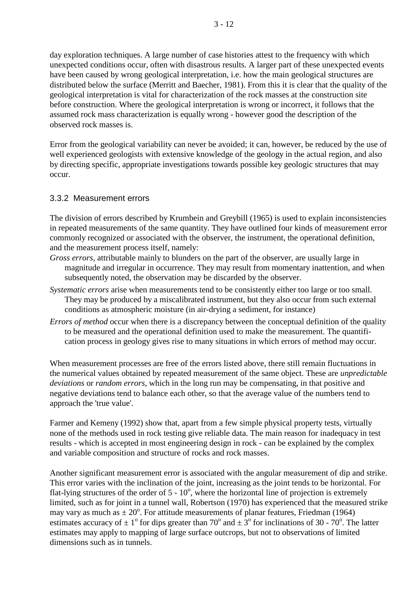day exploration techniques. A large number of case histories attest to the frequency with which unexpected conditions occur, often with disastrous results. A larger part of these unexpected events have been caused by wrong geological interpretation, i.e. how the main geological structures are distributed below the surface (Merritt and Baecher, 1981). From this it is clear that the quality of the geological interpretation is vital for characterization of the rock masses at the construction site before construction. Where the geological interpretation is wrong or incorrect, it follows that the assumed rock mass characterization is equally wrong - however good the description of the observed rock masses is.

Error from the geological variability can never be avoided; it can, however, be reduced by the use of well experienced geologists with extensive knowledge of the geology in the actual region, and also by directing specific, appropriate investigations towards possible key geologic structures that may occur.

#### 3.3.2 Measurement errors

The division of errors described by Krumbein and Greybill (1965) is used to explain inconsistencies in repeated measurements of the same quantity. They have outlined four kinds of measurement error commonly recognized or associated with the observer, the instrument, the operational definition, and the measurement process itself, namely:

- *Gross errors*, attributable mainly to blunders on the part of the observer, are usually large in magnitude and irregular in occurrence. They may result from momentary inattention, and when subsequently noted, the observation may be discarded by the observer.
- *Systematic errors* arise when measurements tend to be consistently either too large or too small. They may be produced by a miscalibrated instrument, but they also occur from such external conditions as atmospheric moisture (in air-drying a sediment, for instance)
- *Errors of method* occur when there is a discrepancy between the conceptual definition of the quality to be measured and the operational definition used to make the measurement. The quantification process in geology gives rise to many situations in which errors of method may occur.

When measurement processes are free of the errors listed above, there still remain fluctuations in the numerical values obtained by repeated measurement of the same object. These are *unpredictable deviations* or *random errors*, which in the long run may be compensating, in that positive and negative deviations tend to balance each other, so that the average value of the numbers tend to approach the 'true value'.

Farmer and Kemeny (1992) show that, apart from a few simple physical property tests, virtually none of the methods used in rock testing give reliable data. The main reason for inadequacy in test results - which is accepted in most engineering design in rock - can be explained by the complex and variable composition and structure of rocks and rock masses.

Another significant measurement error is associated with the angular measurement of dip and strike. This error varies with the inclination of the joint, increasing as the joint tends to be horizontal. For flat-lying structures of the order of  $5 - 10^{\circ}$ , where the horizontal line of projection is extremely limited, such as for joint in a tunnel wall, Robertson (1970) has experienced that the measured strike may vary as much as  $\pm 20^{\circ}$ . For attitude measurements of planar features, Friedman (1964) estimates accuracy of  $\pm 1^{\circ}$  for dips greater than 70° and  $\pm 3^{\circ}$  for inclinations of 30 - 70°. The latter estimates may apply to mapping of large surface outcrops, but not to observations of limited dimensions such as in tunnels.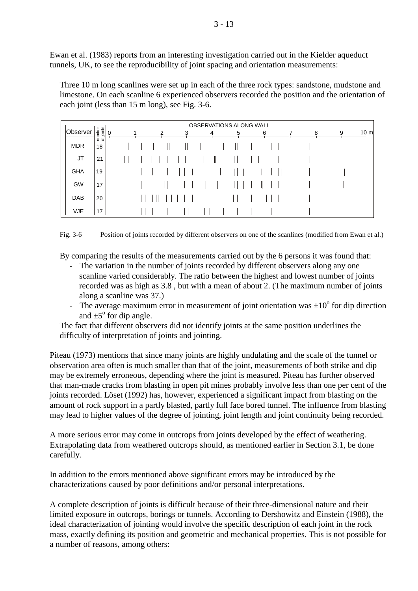Ewan et al. (1983) reports from an interesting investigation carried out in the Kielder aqueduct tunnels, UK, to see the reproducibility of joint spacing and orientation measurements:

Three 10 m long scanlines were set up in each of the three rock types: sandstone, mudstone and limestone. On each scanline 6 experienced observers recorded the position and the orientation of each joint (less than 15 m long), see Fig. 3-6.

|            |                     | OBSERVATIONS ALONG WALL |  |  |  |                |   |   |   |   |  |   |   |   |                |
|------------|---------------------|-------------------------|--|--|--|----------------|---|---|---|---|--|---|---|---|----------------|
| Observer   | number<br>of joints | 0                       |  |  |  | $\overline{2}$ | 3 | 4 |   | 5 |  | 6 | 8 | 9 | $10 \text{ m}$ |
| <b>MDR</b> | 18                  |                         |  |  |  |                |   |   |   |   |  |   |   |   |                |
| JT         | 21                  |                         |  |  |  |                |   |   | Ш |   |  |   |   |   |                |
| <b>GHA</b> | 19                  |                         |  |  |  |                |   |   |   |   |  |   |   |   |                |
| GW         | 17                  |                         |  |  |  |                |   |   |   |   |  |   |   |   |                |
| <b>DAB</b> | 20                  |                         |  |  |  |                |   |   |   |   |  |   |   |   |                |
| <b>VJE</b> | 17                  |                         |  |  |  |                |   |   |   |   |  |   |   |   |                |

Fig. 3-6 Position of joints recorded by different observers on one of the scanlines (modified from Ewan et al.)

By comparing the results of the measurements carried out by the 6 persons it was found that:

- The variation in the number of joints recorded by different observers along any one scanline varied considerably. The ratio between the highest and lowest number of joints recorded was as high as 3.8 , but with a mean of about 2. (The maximum number of joints along a scanline was 37.)
- The average maximum error in measurement of joint orientation was  $\pm 10^{\circ}$  for dip direction and  $\pm 5^{\circ}$  for dip angle.

The fact that different observers did not identify joints at the same position underlines the difficulty of interpretation of joints and jointing.

Piteau (1973) mentions that since many joints are highly undulating and the scale of the tunnel or observation area often is much smaller than that of the joint, measurements of both strike and dip may be extremely erroneous, depending where the joint is measured. Piteau has further observed that man-made cracks from blasting in open pit mines probably involve less than one per cent of the joints recorded. Löset (1992) has, however, experienced a significant impact from blasting on the amount of rock support in a partly blasted, partly full face bored tunnel. The influence from blasting may lead to higher values of the degree of jointing, joint length and joint continuity being recorded.

A more serious error may come in outcrops from joints developed by the effect of weathering. Extrapolating data from weathered outcrops should, as mentioned earlier in Section 3.1, be done carefully.

In addition to the errors mentioned above significant errors may be introduced by the characterizations caused by poor definitions and/or personal interpretations.

A complete description of joints is difficult because of their three-dimensional nature and their limited exposure in outcrops, borings or tunnels. According to Dershowitz and Einstein (1988), the ideal characterization of jointing would involve the specific description of each joint in the rock mass, exactly defining its position and geometric and mechanical properties. This is not possible for a number of reasons, among others: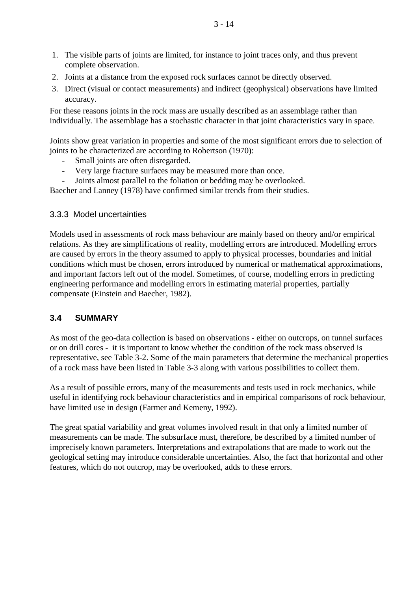- 1. The visible parts of joints are limited, for instance to joint traces only, and thus prevent complete observation.
- 2. Joints at a distance from the exposed rock surfaces cannot be directly observed.
- 3. Direct (visual or contact measurements) and indirect (geophysical) observations have limited accuracy.

For these reasons joints in the rock mass are usually described as an assemblage rather than individually. The assemblage has a stochastic character in that joint characteristics vary in space.

Joints show great variation in properties and some of the most significant errors due to selection of joints to be characterized are according to Robertson (1970):

- Small joints are often disregarded.
- Very large fracture surfaces may be measured more than once.

- Joints almost parallel to the foliation or bedding may be overlooked.

Baecher and Lanney (1978) have confirmed similar trends from their studies.

#### 3.3.3 Model uncertainties

Models used in assessments of rock mass behaviour are mainly based on theory and/or empirical relations. As they are simplifications of reality, modelling errors are introduced. Modelling errors are caused by errors in the theory assumed to apply to physical processes, boundaries and initial conditions which must be chosen, errors introduced by numerical or mathematical approximations, and important factors left out of the model. Sometimes, of course, modelling errors in predicting engineering performance and modelling errors in estimating material properties, partially compensate (Einstein and Baecher, 1982).

#### **3.4 SUMMARY**

As most of the geo-data collection is based on observations - either on outcrops, on tunnel surfaces or on drill cores - it is important to know whether the condition of the rock mass observed is representative, see Table 3-2. Some of the main parameters that determine the mechanical properties of a rock mass have been listed in Table 3-3 along with various possibilities to collect them.

As a result of possible errors, many of the measurements and tests used in rock mechanics, while useful in identifying rock behaviour characteristics and in empirical comparisons of rock behaviour, have limited use in design (Farmer and Kemeny, 1992).

The great spatial variability and great volumes involved result in that only a limited number of measurements can be made. The subsurface must, therefore, be described by a limited number of imprecisely known parameters. Interpretations and extrapolations that are made to work out the geological setting may introduce considerable uncertainties. Also, the fact that horizontal and other features, which do not outcrop, may be overlooked, adds to these errors.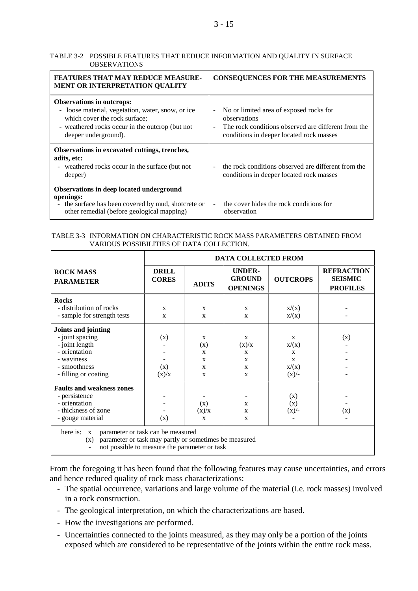#### TABLE 3-2 POSSIBLE FEATURES THAT REDUCE INFORMATION AND QUALITY IN SURFACE OBSERVATIONS

| <b>FEATURES THAT MAY REDUCE MEASURE-</b><br><b>MENT OR INTERPRETATION QUALITY</b>                                                                                                                 | <b>CONSEQUENCES FOR THE MEASUREMENTS</b>                                                                                                                             |
|---------------------------------------------------------------------------------------------------------------------------------------------------------------------------------------------------|----------------------------------------------------------------------------------------------------------------------------------------------------------------------|
| <b>Observations in outcrops:</b><br>- loose material, vegetation, water, snow, or ice<br>which cover the rock surface;<br>- weathered rocks occur in the outcrop (but not<br>deeper underground). | No or limited area of exposed rocks for<br>observations<br>The rock conditions observed are different from the<br>$\sim$<br>conditions in deeper located rock masses |
| Observations in excavated cuttings, trenches,<br>adits, etc:<br>- weathered rocks occur in the surface (but not<br>deeper)                                                                        | the rock conditions observed are different from the<br>conditions in deeper located rock masses                                                                      |
| Observations in deep located underground<br>openings:<br>- the surface has been covered by mud, shotcrete or<br>other remedial (before geological mapping)                                        | the cover hides the rock conditions for<br>observation                                                                                                               |

#### TABLE 3-3 INFORMATION ON CHARACTERISTIC ROCK MASS PARAMETERS OBTAINED FROM VARIOUS POSSIBILITIES OF DATA COLLECTION.

|                                                                                                                                                                               | <b>DATA COLLECTED FROM</b>   |                                                                          |                                                   |                                                                |                                                        |  |  |  |  |  |
|-------------------------------------------------------------------------------------------------------------------------------------------------------------------------------|------------------------------|--------------------------------------------------------------------------|---------------------------------------------------|----------------------------------------------------------------|--------------------------------------------------------|--|--|--|--|--|
| <b>ROCK MASS</b><br><b>PARAMETER</b>                                                                                                                                          | <b>DRILL</b><br><b>CORES</b> | <b>ADITS</b>                                                             | <b>UNDER-</b><br><b>GROUND</b><br><b>OPENINGS</b> | <b>OUTCROPS</b>                                                | <b>REFRACTION</b><br><b>SEISMIC</b><br><b>PROFILES</b> |  |  |  |  |  |
| <b>Rocks</b><br>- distribution of rocks<br>- sample for strength tests                                                                                                        | X<br>$\mathbf{x}$            | $\mathbf{x}$<br>$\mathbf{x}$                                             | $\mathbf{x}$<br>X                                 | x/(x)<br>x/(x)                                                 |                                                        |  |  |  |  |  |
| Joints and jointing<br>- joint spacing<br>- joint length<br>- orientation<br>- waviness<br>- smoothness<br>- filling or coating                                               | (x)<br>(x)<br>(x)/x          | X<br>(x)<br>$\mathbf{x}$<br>$\mathbf{x}$<br>$\mathbf{x}$<br>$\mathbf{x}$ | X<br>(x)/x<br>X<br>X<br>$\mathbf{x}$<br>X         | $\mathbf{x}$<br>x/(x)<br>X<br>$\mathbf{x}$<br>x/(x)<br>$(x)/-$ | (x)                                                    |  |  |  |  |  |
| <b>Faults and weakness zones</b><br>- persistence<br>- orientation<br>- thickness of zone<br>- gouge material                                                                 | (x)                          | (x)<br>(x)/x<br>$\mathbf{x}$                                             | X<br>$\mathbf x$<br>X                             | (x)<br>(x)<br>$(x)/-$                                          | (x)                                                    |  |  |  |  |  |
| here is:<br>parameter or task can be measured<br>$\mathbf X$<br>parameter or task may partly or sometimes be measured<br>(x)<br>not possible to measure the parameter or task |                              |                                                                          |                                                   |                                                                |                                                        |  |  |  |  |  |

From the foregoing it has been found that the following features may cause uncertainties, and errors and hence reduced quality of rock mass characterizations:

- The spatial occurrence, variations and large volume of the material (i.e. rock masses) involved in a rock construction.
- The geological interpretation, on which the characterizations are based.
- How the investigations are performed.
- Uncertainties connected to the joints measured, as they may only be a portion of the joints exposed which are considered to be representative of the joints within the entire rock mass.